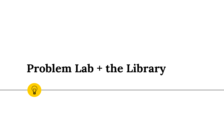### **Problem Lab + the Library**

 $\left(\!\!\!\begin{array}{c}\ \ \, \mathbb{N}\end{array}\!\!\!\right)$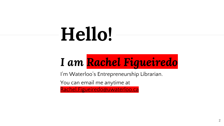# **Hello!**

## *I am Rachel Figueiredo*

I'm Waterloo's Entrepreneurship Librarian.

You can email me anytime at

[Rachel.Figueiredo@uwaterloo.ca](mailto:Rachel.Figueiredo@uwaterloo.ca)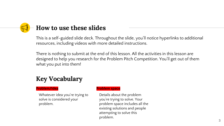### **How to use these slides**

This is a self-guided slide deck. Throughout the slide, you'll notice hyperlinks to additional resources, including videos with more detailed instructions.

There is nothing to submit at the end of this lesson. All the activities in this lesson are designed to help you research for the Problem Pitch Competition. You'll get out of them what you put into them!

#### **Key Vocabulary**

#### **Problem/Idea**

Whatever idea you're trying to solve is considered your problem.

#### **Problem space**

Details about the problem you're trying to solve. Your problem space includes all the existing solutions and people attempting to solve this problem.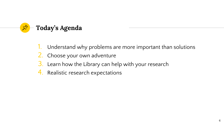

- 1. Understand why problems are more important than solutions
- 2. Choose your own adventure
- 3. Learn how the Library can help with your research
- 4. Realistic research expectations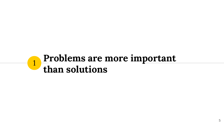### **Problems are more important than solutions**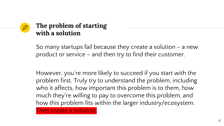#### **The problem of starting with a solution**

So many startups fail because they create a solution – a new product or service – and then try to find their customer.

However, you're more likely to succeed if you start with the problem first. Truly try to understand the problem, including who it affects, how important this problem is to them, how much they're willing to pay to overcome this problem, and how this problem fits within the larger industry/ecosystem.

Then create a solution.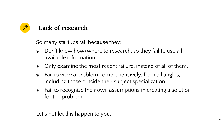

So many startups fail because they:

- ◉ Don't know how/where to research, so they fail to use all available information
- Only examine the most recent failure, instead of all of them.
- ◉ Fail to view a problem comprehensively, from all angles, including those outside their subject specialization.
- ◉ Fail to recognize their own assumptions in creating a solution for the problem.

Let's not let this happen to you.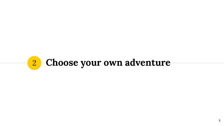## **Choose your own adventure**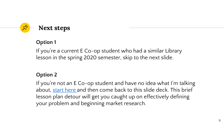

#### **Option 1**

If you're a current E Co-op student who had a similar Library lesson in the spring 2020 semester, skip to the next slide.

#### **Option 2**

If you're not an E Co-op student and have no idea what I'm talking about, [start here a](https://drive.google.com/file/d/15D9fFsMrxYX6WSBsqLE07pcxaHhneEPc/view?usp=sharing)nd then come back to this slide deck. This brief lesson plan detour will get you caught up on effectively defining your problem and beginning market research.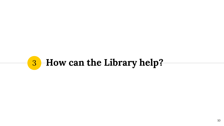## **How can the Library help?**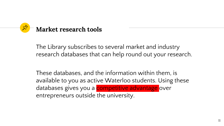

The Library subscribes to several market and industry research databases that can help round out your research.

These databases, and the information within them, is available to you as active Waterloo students. Using these databases gives you a **competitive advantage** over entrepreneurs outside the university.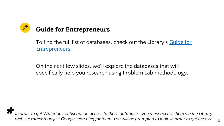### **Guide for Entrepreneurs**

[To find the full list of databases, check out the Library's](https://subjectguides.uwaterloo.ca/entrepreneurs/marketresearch) <u>Guide for</u> Entrepreneurs.

On the next few slides, we'll explore the databases that will specifically help you research using Problem Lab methodology.

*In order to get Waterloo's subscription access to these databases, you must access them via the Library*  \**website rather than just Google searching for them. You will be prompted to login in order to get access.*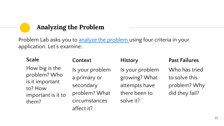#### **Analyzing the Problem**

Problem Lab asks you to [analyze the problem](https://uwaterloo.ca/problem-lab/students/our-methods) using four criteria in your application. Let's examine:

| <b>Scale</b>                                                                                | Context                                                                                      | <b>History</b>                                                                  | <b>Past Failures</b>                                             |
|---------------------------------------------------------------------------------------------|----------------------------------------------------------------------------------------------|---------------------------------------------------------------------------------|------------------------------------------------------------------|
| How big is the<br>problem? Who<br>is it important<br>to? How<br>important is it to<br>them? | Is your problem<br>a primary or<br>secondary<br>problem? What<br>circumstances<br>affect it? | Is your problem<br>growing? What<br>attempts have<br>there been to<br>solve it? | Who has tried<br>to solve this<br>problem? Why<br>did they fail? |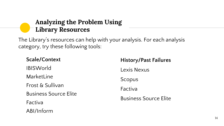#### **Analyzing the Problem Using Library Resources**

The Library's resources can help with your analysis. For each analysis category, try these following tools:

| <b>Scale/Context</b>         |  |  |
|------------------------------|--|--|
| <b>IBISWorld</b>             |  |  |
| MarketLine                   |  |  |
| <b>Frost &amp; Sullivan</b>  |  |  |
| <b>Business Source Elite</b> |  |  |
| Factiva                      |  |  |
| ABI/Inform                   |  |  |

| <b>History/Past Failures</b> |  |  |  |
|------------------------------|--|--|--|
| Lexis Nexus                  |  |  |  |
| Scopus                       |  |  |  |
| Factiva                      |  |  |  |
| <b>Business Source Flite</b> |  |  |  |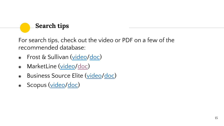#### **Search tips**

For search tips, check out the video or PDF on a few of the recommended database:

- ◉ Frost & Sullivan [\(video/](https://share.vidyard.com/watch/CfXfFwa48Eg1NyEog1LGea?)[doc\)](https://drive.google.com/file/d/1DfRrDqElVahsBPvOyofub5WrNFb6kC_9/view?usp=sharing)
- MarketLine ([video](https://share.vidyard.com/watch/Tgpjk3MMgnomyqm3REXdV9?)/[doc\)](https://drive.google.com/file/d/1fgjvJNrUrf4_bjLyuE02zSN9zBn6mVld/view?usp=sharing)
- Business Source Elite [\(video/](https://share.vidyard.com/watch/PiDbGdu1XXkEYcrTpehhgq?)[doc](https://drive.google.com/file/d/1kdQedlsdOhOTAWiybHAUwfn6DfHNqw_0/view?usp=sharing))
- Scopus ([video](https://share.vidyard.com/watch/8mEdkq2oAw5oSAdDykyr7D?)[/doc](https://drive.google.com/file/d/1ZjC4sH7uqL7XfAyAzKQ2CxckcbsXHFhi/view?usp=sharing))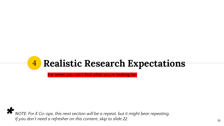### 4 **Realistic Research Expectations**

For when you can't find what you're looking for.

*NOTE: For E Co-ops, this next section will be a repeat, but it might bear repeating.*  \**If you don't need a refresher on this content, skip to slide 22.*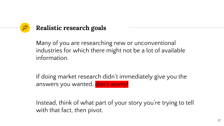

Many of you are researching new or unconventional industries for which there might not be a lot of available information.

If doing market research didn't immediately give you the answers you wanted, don't worry!

Instead, think of what part of your story you're trying to tell with that fact, then pivot.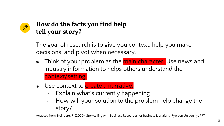#### **How do the facts you find help tell your story?**

The goal of research is to give you context, help you make decisions, and pivot when necessary.

- Think of your problem as the main character. Use news and industry information to helps others understand the context/setting.
- Use context to create a narrative:
	- Explain what's currently happening
	- How will your solution to the problem help change the story?

Adapted from Steinberg, R. (2020). Storytelling with Business Resources for Business Librarians. Ryerson University. PPT.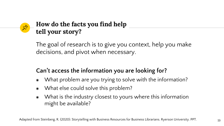#### **How do the facts you find help tell your story?**

The goal of research is to give you context, help you make decisions, and pivot when necessary.

#### **Can't access the information you are looking for?**

- ◉ What problem are you trying to solve with the information?
- ◉ What else could solve this problem?
- What is the industry closest to yours where this information might be available?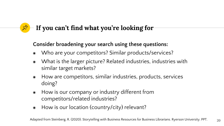### **If you can't find what you're looking for**

#### **Consider broadening your search using these questions:**

- ◉ Who are your competitors? Similar products/services?
- ◉ What is the larger picture? Related industries, industries with similar target markets?
- ◉ How are competitors, similar industries, products, services doing?
- ◉ How is our company or industry different from competitors/related industries?
- ◉ How is our location (country/city) relevant?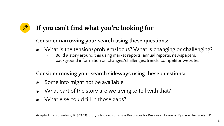### **If you can't find what you're looking for**

#### **Consider narrowing your search using these questions:**

- ◉ What is the tension/problem/focus? What is changing or challenging?
	- Build a story around this using market reports, annual reports, newspapers, background information on changes/challenges/trends, competitor websites

#### **Consider moving your search sideways using these questions:**

- Some info might not be available.
- ◉ What part of the story are we trying to tell with that?
- ◉ What else could fill in those gaps?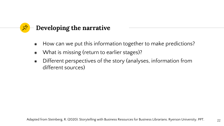### **Developing the narrative**

- ◉ How can we put this information together to make predictions?
- ◉ What is missing (return to earlier stages)?
- ◉ Different perspectives of the story (analyses, information from different sources)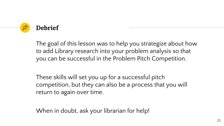

The goal of this lesson was to help you strategize about how to add Library research into your problem analysis so that you can be successful in the Problem Pitch Competition.

These skills will set you up for a successful pitch competition, but they can also be a process that you will return to again over time.

When in doubt, ask your librarian for help!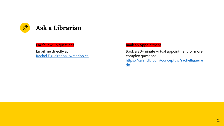

#### **For follow up questions**

Email me directly at [Rachel.Figueiredo@uwaterloo.ca](mailto:Rachel.Figueiredo@uwaterloo.ca)

#### **Book an Appointment**

Book a 20-minute virtual appointment for more complex questions: [https://calendly.com/conceptuw/rachelfigueire](https://calendly.com/conceptuw/rachelfigueiredo) do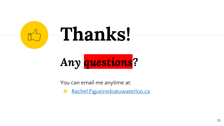

## *Any questions?*

You can email me anytime at:

● [Rachel.Figueiredo@uwaterloo.ca](mailto:Rachel.Figueiredo@uwaterloo.ca)